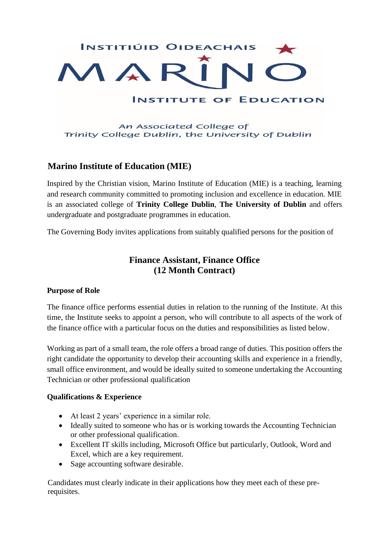

# **Marino Institute of Education (MIE)**

Inspired by the Christian vision, Marino Institute of Education (MIE) is a teaching, learning and research community committed to promoting inclusion and excellence in education. MIE is an associated college of **Trinity College Dublin**, **The University of Dublin** and offers undergraduate and postgraduate programmes in education.

The Governing Body invites applications from suitably qualified persons for the position of

# **Finance Assistant, Finance Office (12 Month Contract)**

## **Purpose of Role**

The finance office performs essential duties in relation to the running of the Institute. At this time, the Institute seeks to appoint a person, who will contribute to all aspects of the work of the finance office with a particular focus on the duties and responsibilities as listed below.

Working as part of a small team, the role offers a broad range of duties. This position offers the right candidate the opportunity to develop their accounting skills and experience in a friendly, small office environment, and would be ideally suited to someone undertaking the Accounting Technician or other professional qualification

#### **Qualifications & Experience**

- At least 2 years' experience in a similar role.
- Ideally suited to someone who has or is working towards the Accounting Technician or other professional qualification.
- Excellent IT skills including, Microsoft Office but particularly, Outlook, Word and Excel, which are a key requirement.
- Sage accounting software desirable.

Candidates must clearly indicate in their applications how they meet each of these prerequisites.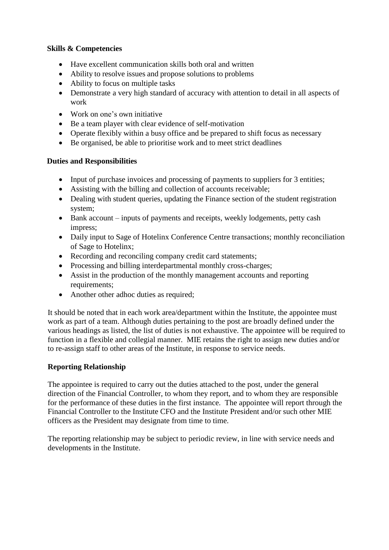#### **Skills & Competencies**

- Have excellent communication skills both oral and written
- Ability to resolve issues and propose solutions to problems
- Ability to focus on multiple tasks
- Demonstrate a very high standard of accuracy with attention to detail in all aspects of work
- Work on one's own initiative
- Be a team player with clear evidence of self-motivation
- Operate flexibly within a busy office and be prepared to shift focus as necessary
- Be organised, be able to prioritise work and to meet strict deadlines

## **Duties and Responsibilities**

- Input of purchase invoices and processing of payments to suppliers for 3 entities;
- Assisting with the billing and collection of accounts receivable;
- Dealing with student queries, updating the Finance section of the student registration system;
- Bank account inputs of payments and receipts, weekly lodgements, petty cash impress;
- Daily input to Sage of Hotelinx Conference Centre transactions; monthly reconciliation of Sage to Hotelinx;
- Recording and reconciling company credit card statements;
- Processing and billing interdepartmental monthly cross-charges;
- Assist in the production of the monthly management accounts and reporting requirements;
- Another other adhoc duties as required;

It should be noted that in each work area/department within the Institute, the appointee must work as part of a team. Although duties pertaining to the post are broadly defined under the various headings as listed, the list of duties is not exhaustive. The appointee will be required to function in a flexible and collegial manner. MIE retains the right to assign new duties and/or to re-assign staff to other areas of the Institute, in response to service needs.

## **Reporting Relationship**

The appointee is required to carry out the duties attached to the post, under the general direction of the Financial Controller, to whom they report, and to whom they are responsible for the performance of these duties in the first instance. The appointee will report through the Financial Controller to the Institute CFO and the Institute President and/or such other MIE officers as the President may designate from time to time.

The reporting relationship may be subject to periodic review, in line with service needs and developments in the Institute.